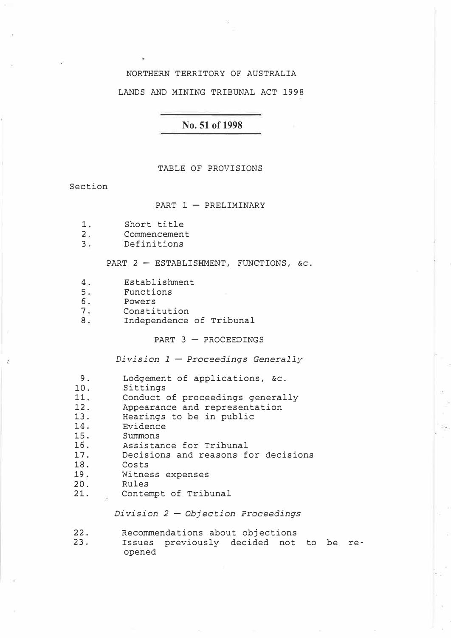# NORTHERN TERRITORY OF AUSTRALIA

### LANDS AND MINING TRIBUNAL ACT 1998

# **No. 51 of 1998**

#### TABLE OF PROVISIONS

Section

### PART  $1 -$  PRELIMINARY

- 1. Short title<br>2. Commencemen
- 2. Commencement<br>3. Definitions
- 3. Definitions

### PART  $2$  - ESTABLISHMENT, FUNCTIONS, &c.

- 4. Establishment
- 5. Functions<br>6. Powers
- 
- 6. Powers<br>7. Constit
- 7. Constitution<br>8. Independence Independence of Tribunal

#### PART  $3$  - PROCEEDINGS

*Division 1 - Proceedings Generally* 

9. Lodgement of applications, &c.<br>10. Sittings

- 10. Sittings<br>11. Conduct
- 11. Conduct of proceedings generally<br>12. Appearance and representation
- 12. Appearance and representation<br>13. Hearings to be in public
- 13. Hearings to be in public<br>14. Evidence
- 14. Evidence<br>15. Summons
- 15. Summons<br>16. Assistar
- 16. Assistance for Tribunal<br>17. Decisions and reasons f
- 17. Decisions and reasons for decisions<br>18. Costs
- 18. Costs<br>19. Witne
- 19. Witness expenses<br>20. Rules
- 20. Rules<br>21. Conter
- 2. Contempt of Tribunal

### *Division 2 - Objection Proceedings*

- 
- 22. Recommendations about objections<br>23. Issues previously decided not Issues previously decided not to be reopened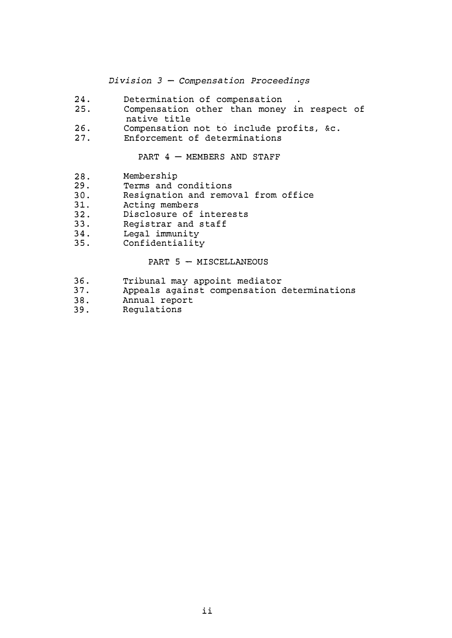*Division 3 - Compensation Proceedings* 

- 24. Determination of compensation<br>25. Compensation other than money
- Compensation other than money in respect of native title
- 26. Compensation not to include profits, &c.<br>27. Enforcement of determinations
- Enforcement of determinations

PART  $4$  - MEMBERS AND STAFF

- 28. Membership<br>29. Terms and
- 29. Terms and conditions<br>30. Resignation and remo
- 30. Resignation and removal from office<br>31. Acting members
- 31. Acting members<br>32. Disclosure of:
- 32. Disclosure of interests<br>33. Registrar and staff
- 33. Registrar and staff<br>34. Legal immunity
- 34. Legal immunity<br>35. Confidentiality
- Confidentiality

#### PART  $5 -$  MISCELLANEOUS

- 36. Tribunal may appoint mediator<br>37. Appeals against compensation
- 37. Appeals against compensation determinations<br>38. Annual report
- 38. Annual report<br>39. Regulations
- Regulations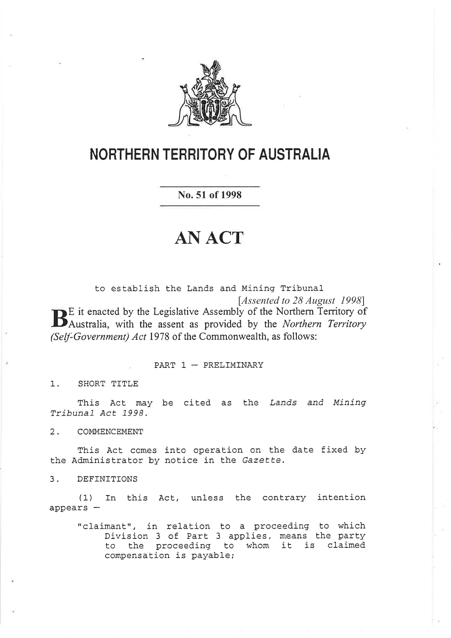

# **NORTHERN TERRITORY OF AUSTRALIA**

No. 51 of 1998

# **AN ACT**

to establish the Lands and Mining Tribunal [Assented to 28 August 1998] **B**E it enacted by the Legislative Assembly of the Northern Territory of Australia, with the assent as provided by the Northern Territory (Self-Government) Act 1978 of the Commonwealth, as follows:

PART  $1$  - PRELIMINARY

 $1.$ SHORT TITLE

This Act may be cited as the Lands and Mining Tribunal Act 1998.

 $2.$ COMMENCEMENT

This Act comes into operation on the date fixed by the Administrator by notice in the Gazette.

DEFINITIONS  $3.$ 

(1) In this Act, unless the contrary intention  $appears -$ 

"claimant", in relation to a proceeding to which Division 3 of Part 3 applies, means the party to the proceeding to whom it is claimed compensation is payable;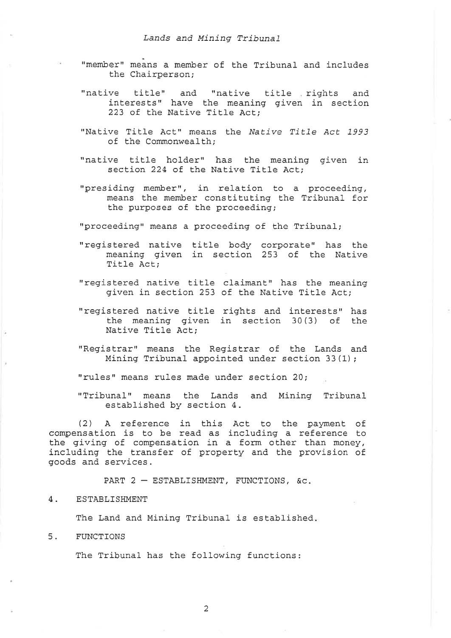- "member" means a member of the Tribunal and includes the Chairperson;
- "native title" and "native title rights and<br>interests" have the meaning given in section 223 of the Native Title Act;
- "Native Title Act" means the Native Title Act 1993 of the Commonwealth;
- "native title holder" has the meaning given in section 224 of the Native Title Act;
- "presiding member", in relation to a proceeding, means the member constituting the Tribunal for the purposes of the proceeding;

"proceeding" means a proceeding of the Tribunal;

- "registered native title body corporate" has the meaning given in section 253 of the Native Title Act;
- "registered native title claimant" has the meaning given in section 253 of the Native Title Act;
- "registered native title rights and interests" has the meaning given in section  $30(3)$  of the Native Title Act;
- "Registrar" means the Registrar of the Lands and Mining Tribunal appointed under section 33 (1);

"rules" means rules made under section 20;

"Tribunal" means the Lands and Mining Tribunal<br>established by section 4.

(2) A reference in this Act to the payment of compensation is to be read as including a reference to the giving of compensation in a form other than money, including the transfer of property and the provision of goods and services.

PART  $2$  - ESTABLISHMENT, FUNCTIONS, &c.

# 4. ESTABLISHMENT

The Land and Mining Tribunal is established.

5. FUNCTIONS

The Tribunal has the following functions: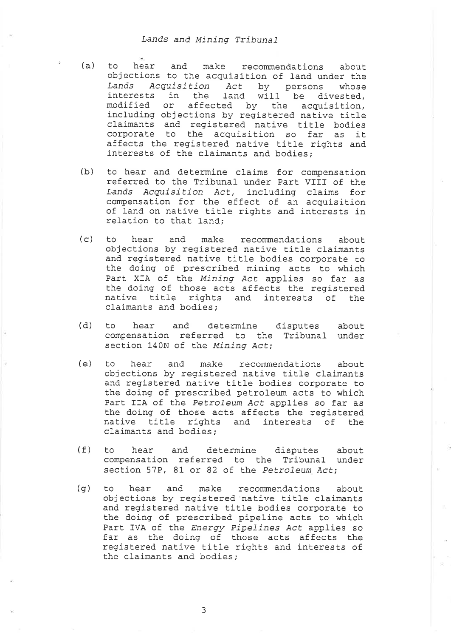- (a) to hear and make recommendations about objections to the acquisition of land under the Lands Acquisition Act by persons whose interests in the land will be divested, modified or affected by the acquisition,<br>including objections by registered native title claimants and registered native title bodies<br>corporate to the acquisition so far as it affects the registered native title rights and<br>interests of the claimants and bodies;
- (b) to hear and determine claims for compensation referred to the Tribunal under Part VIII of the Lands Acquisition Act, including claims for compensation for the effect of an acquisition<br>of land on native title rights and interests in relation to that land;
- (c) to hear and make recommendations about objections by registered native title claimants and registered native title bodies corporate to the doing of prescribed mining acts to which Part XIA of the Mining Act applies so far as Ehe doing of those acts affects the registered native title rights and interests of the claimants and bodies;
- (d) to hear and determine disputes about compensation referred to the Tribunal under section 140N of the Mining Act;
- (e) to hear and make recommendations about objections by registered native title claimants and registered native title bodies corporate to the doing of prescribed petroleum acts to which<br>Part IIA of the Petroleum Act applies so far as the doing of those acts affects the registered<br>native title rights and interests of the claimants and bodies;
- (f) to hear and determine disputes about compensation referred to the Tribunal under section 57P, 81 or 82 of the Petroleum Act;
- (g) to hear and make recommendations about objections by registered native title claimants and registered native title bodies corporate to<br>the doing of prescribed pipeline acts to which Part IVA of the *Energy Pipelines Act* applies so far as the doing of those acts affects the registered native title rights and interests of the claimants and bodies;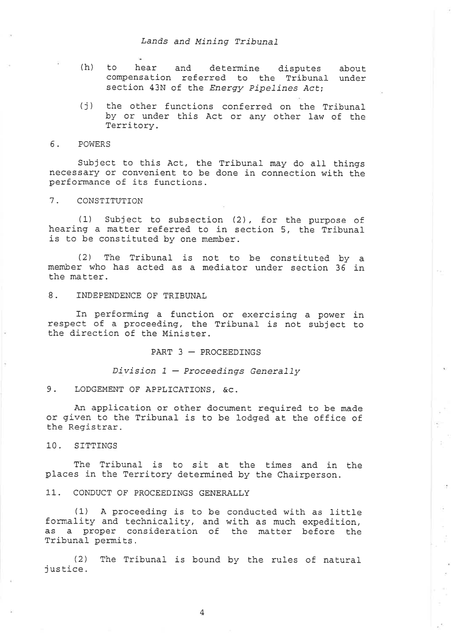- (h) to hear and determine disputes compensation referred to the Tribunal under section 43N of the Energy Pipelines Act; about
- (j) the other functions conferred on the Tribunal<br>by or under this Act or any other law of the Territory.

#### 6. POWERS

Subject to this Act, the Tribunal may do all things necessary or convenient to be done in connection with the performance of its functions.

#### 1 CONSTTTUTTON

(1) Subject to subsection (2), for the purpose of hearing a matter referred to in section 5, the Tribunal is to be constituted by one member.

(2) The Tribunal is not. to be constituted by <sup>a</sup> member who has acted as a mediator under section  $36$  in the matter.

8. TNDEPENDENCE OF TRIBUNAL

In performing a function or exercising a power in respect of a proceeding, the Tribunal is not subject to the direction of the Minister.

PART  $3$  - PROCEEDINGS

Division  $1$  - Proceedings Generally

9. LODGEMENT OF APPLICATIONS, &C.

An application or other document required to be made or given to the Tribunal is to be lodged at the office of the Registrar.  $\alpha^{-21}$  $\widetilde{\mathcal{C}}_1$ 

 $\mathcal{R}$ 

is.

10. SITTINGS

The Tribunal is to sit at the times and in the places in the Territory determined by the Chairperson.

11.. CONÐUCT OF PROCEEDTNGS GENERALLY

(1) A proceeding is to be conducted with as little formality and technicality, and with as much expedition, as a proper consideration of the matter before the Tribunal permits.

(2) The Tribunal is bound by the rules of natural (2)<br>justice.

 $\overline{4}$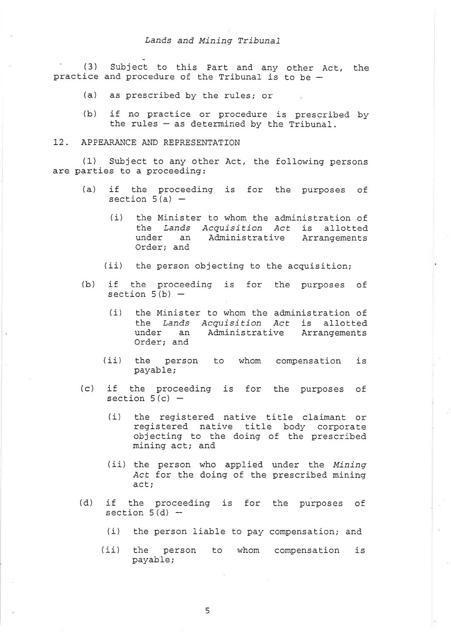' (3) Subject Lo this Part, and any practice and procedure of the Tribunal is tobe-Subject to this Part and any other Act, the

- (a) as prescribed by the rules; or
- (b) if no practice or procedure is prescribed by the rules  $-$  as determined by the Tribunal.

#### 12. APPEARANCE AND REPRESENTATION

(1) Subject lo any other Àct, the following persons are parties to a proceeding:

- (a) if the proceeding is for the purposes of section  $5(a)$  -
	- (i) the Minister to whom the administration of the Lands Acquisition Act is allotted under an Administrative Arrangements Order; and
	- (ii) the person objecting to the acquisition;
- (b) if the proceeding is for the purposes of section  $5(b)$  -
	- (i) the Minister to whom Ehe administration of the Lands Acquisition Act is allotted under an Administrative Arrangements Order; and
	- (ii) the person to whom compensation is payable;
- (c) if the proceeding is for the purposes of section  $5(c)$  -
	- (i) the registered native title claimant or registered native title body corporate objecting Eo the doing of the prescribed mining act; and
	- (ii) the person who applied under the Mining Act for the doing of the prescribed mining act;
- (d) if the proceeding is for the purposes of section  $5(d)$  -
	- (i) the person liable to pay compensation; and
	- (ii) the person to whom compensation is payable;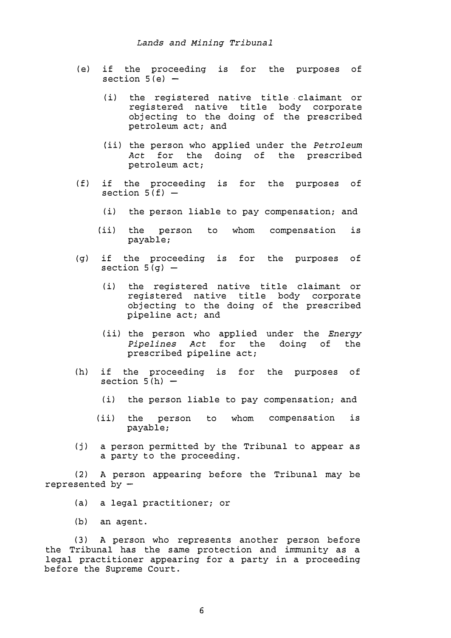- (e) if the proceeding is for the purposes of section  $5(e)$  -
	- (i) the registered native title claimant or registered native title body corporate objecting to the doing of the prescribed petroleum act; and
	- (ii) the person who applied under the *Petroleum* Act for the doing of petroleum act;
- $(f)$ if the proceeding is for the purposes of section  $5(f)$  -
	- (i) the person liable to pay compensation; and
	- (ii) the person to whom compensation is payable;
- (g) if the proceeding is for the purposes of section  $5(q)$  -
	- (i) the registered native title claimant or registered native title body corporate objecting to the doing of the prescribed pipeline act; and
	- (ii) the person who applied under the *Energy* Pipelines Act for the doing of the prescribed pipeline act;
- (h) if the proceeding is for the purposes of section  $5(h)$  -
	- (i) the person liable to pay compensation; and
	- (ii) the person to whom compensation is payable;
- (j) a person permitted by the Tribunal to appear as a party to the proceeding.

( 2) A person appearing before the Tribunal may be represented by  $-$ 

- (a) a legal practitioner; or
- (b) an agent.

( 3) A person who represents another person before the Tribunal has the same protection and immunity as a legal practitioner appearing for a party in a proceeding before the Supreme Court.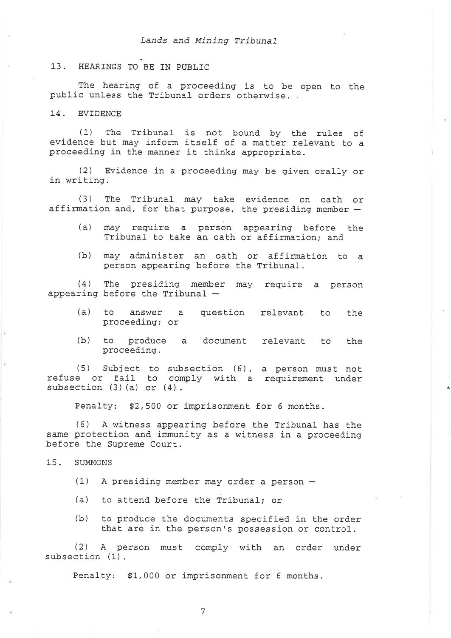#### 13. HEARINGS TO BE IN PUBLIC

The hearing of a proceeding is to be open to the public unless the Tribunal orders otherwise.

14. EVIDENCE

(L) The Tribunal is not bound by Ehe rules of evidence but may inform itself of a matter relevant to a proceeding in the manner it thinks appropriate.

(2) Evidence in a proceeding may be given orally or in writing.

(3) The Tribunal may take evidence on oath or affirmation and, for that purpose, the presiding member  $-$ 

- (a) may require a person appearing before the Tribunal to take an oath or affirmation; and
- (b) may administer an oath or affirmation to a person appearing before the Tribunal.

(4) The presiding member may require a person appearing before the Tribunal  $-$ 

- (a) to answer a question relevant to the proceeding; or
- (b) to produce a document relevant to the proceeding.

 $\pmb{\theta}_i$ 

(5) Subject to subsection (6), a person must not refuse or fail to comply with a requirement under example of fair to contain the contract of the set of  $(4)$ .

Penalty! \$2,500 or imprisonment for 6 months.

(6) A witness appearing before the Tribunal has Ehe same protection and immunity as a witness in a proceeding before the Supreme Court.

15. SUMMONS

- $(1)$  A presiding member may order a person  $-$
- (a) to attend before the Tribunal; or
- (b) to produce the documents specified in the order that are in the person's possession or control.

(2) A person must comply with an order under<br>subsection (1).

Penalty: \$1,000 or imprisonment for 6 months.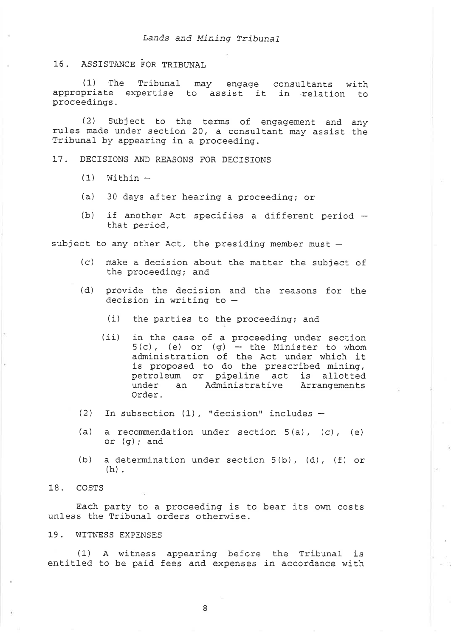16. ASSISTANCE FOR TRIBUNAL

(1) The Tribunal may engage consultants with appropriate expertise to assist it in relation to proceedings.

Subject to the terms of engagement and any  $(2)$ rules made under section 20, a consultant may assist the Tribunal by appearing in a proceeding.

DECISIONS AND REASONS FOR DECISIONS  $17.$ 

- $(1)$  Within  $-$
- $(a)$ 30 days after hearing a proceeding; or
- $(b)$ if another Act specifies a different period that period,

subject to any other Act, the presiding member must -

- (c) make a decision about the matter the subject of the proceeding; and
- $(d)$ provide the decision and the reasons for the decision in writing to  $-$ 
	- $(i)$ the parties to the proceeding; and
	- $(iii)$ in the case of a proceeding under section  $5(c)$ , (e) or (g) - the Minister to whom administration of the Act under which it is proposed to do the prescribed mining, petroleum or pipeline act is allotted under an Administrative Arrangements Order.
- (2) In subsection (1), "decision" includes  $-$
- (a) a recommendation under section  $5(a)$ , (c), (e) or  $(g)$ ; and
- a determination under section 5(b), (d), (f) or  $(b)$  $(h)$ .

#### 18. COSTS

Each party to a proceeding is to bear its own costs unless the Tribunal orders otherwise.

19. WITNESS EXPENSES

A witness appearing before the Tribunal is  $(1)$ entitled to be paid fees and expenses in accordance with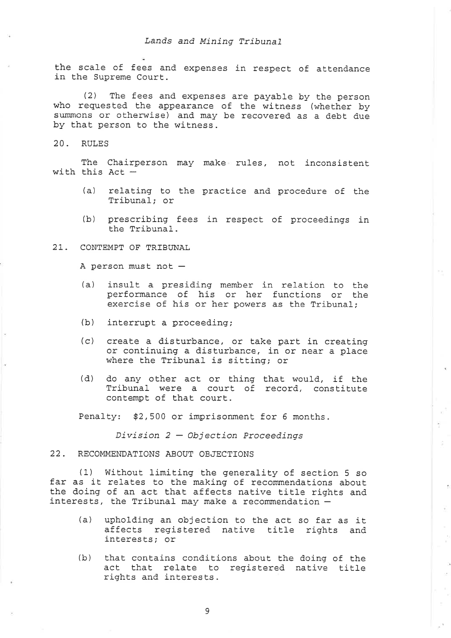the scale of fees and expenses in respect of attendance in the Supreme Court.

(2) The fees and expenses are payable by the person who requested the appearance of the witness (whether by summons or otherwise) and may be recovered as a debt due by that person to the witness.

20. RULES

The Chairperson may make rules, not inconsistent with this Act  $-$ 

- (a) relating to the practice and procedure of the Tribunal; or
- (b) prescribing fees in respect of proceedings in the Tribunal.

2T. CONTEMPT OF TRIBUNAL

A person must not  $-$ 

- (a) insult. a presiding member in relation to the performance of his or her functions or the exercise of his or her powers as the Tribunal;
- (b) interrupt a proceeding;
- $(c)$ create a disturbance, or take part in creating or continuing a disturbance, in or near a place where the Tribunal is sitting; or
- (d) do any other act or thing that would, if the Tribunal were a court of record, constitute contempt of that court.

 $\kappa^2$ Ť.

 $\mathcal{Q}$ 

 $\pm$ 

- 20

 $\alpha$ 

Penalty: \$2,500 or imprisonment for 6 months.

 $Division 2 - Objection Proceedings$ 

### 22. RECOMMENDATIONS ABOUT OBJECTIONS

(1) Without limiting the generality of section 5 so<br>far as it relates to the making of recommendations about<br>the doing of an act that affects native title rights and<br>interests, the Tribunal may make a recommendation -

- (a) upholding an objection to the act so far as it affects registered native title rights and interests; or
- (b) that contains conditions about Ehe doing of the act that relate to registered native title rights and interests.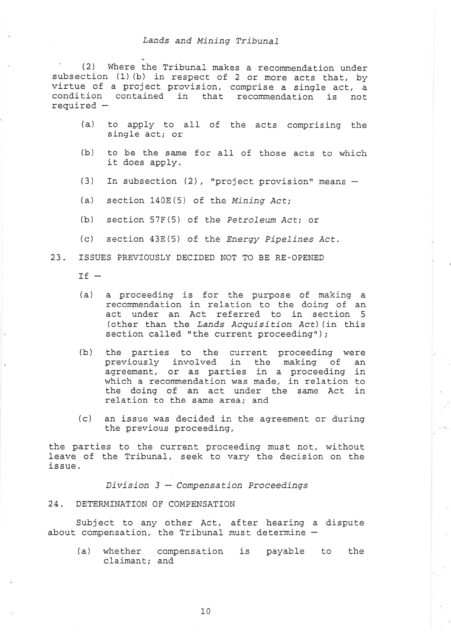(2) Where the Tribunal makes a recommendation under subsection (1) (b) in respect of 2 or more acts that, by virtue of a project provision, comprise a single act, a condition contained in that recommendation is not required  $-$ 

- (a) Lo apply to all of the acts comprising the single act; or
- (b) to be the same for all of those acts to which it does apply.
- (3) In subsection (2), "project provision" means  $-$
- (a) section  $140E(5)$  of the Mining Act;
- $(b)$  section 57F(5) of the Petroleum Act; or
- (c) section  $43E(5)$  of the *Energy Pipelines Act*.
- 23. ISSUES PREVÏOUSLY DECIDED NOT TO BE RE-OPENEÐ

l\_r -

- (a) a proceeding is for the purpose of making <sup>a</sup> recommendation in relation to the doing of an act under an Act referred. to in section <sup>5</sup> (other than the Lands Acquisition Act) (in this section called "the current proceeding");
- (b) the parties to the current proceeding were previously involved. in the making of an agreement, or as parties in a proceeding in which a recommendation was made, in relation to the doing of an act under the same Act in relation to the same area, and
- (c) an issue was decided in the agreement or during the previous proceeding,

the parties to the current proceeding must not, without leave of the Tribunal, seek to vary the decision on the issue.

 $Division 3 - Compenstation  Proceedings$ 

#### 24. DETERMTNATTON OF COMPENSATION

Subject to any other Act, after hearing a dispute about compensation, the Tribunal must determine  $-$ 

(a) whether compensation is payable to the claimant; and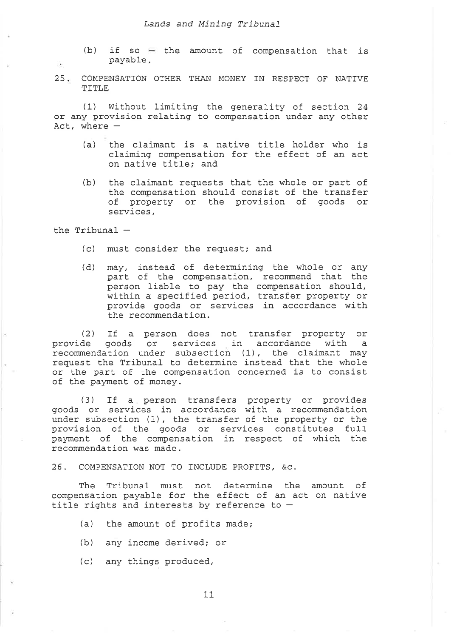- (b) if so  $-$  the amount of compensation that is payable
- <sup>25</sup> COMPENSATTON OTHER THAN MONEY IN RESPECT OF NATTVE TTTLE

(1) Without limiting the generality of section 24 or any provision relating to compensation under any other  $Act.$  where  $-$ 

- (a) the claimant is a native title holder who is claiming compensation for the effect of an act. on native title; and
- (b) the claimant requests that the whole or part of the compensation should consist of the transfer of property or the provision of goods or services,

the Tribunal  $-$ 

- (c) must consider the request; and
- (d) may, instead of determining the whole or any may, instead of docommising the misio of direction person 1iable to pay the compensation should, within a specified period, transfer property or provide goods or services in accordance with the recommendation.

(2) If a person does not transfer property or<br>provide goods or services in accordance with a provide goods of services in accordance with a<br>recommendation under subsection (1), the claimant may request the Tribunal to determine instead that the whole or the part of the compensation concerned is to consist of the payment of money.

(3) If a person transfers property or provides goods or services in accordance with a recommendation under subsection (1), the transfer of the property or the provision of the goods or services constitutes full payment of the compensation in respect of which the recommendation was made.

26. COMPENSATION NOT TO INCLUDE PROFITS, &C.

The Tribunal must not determine the amount of compensation payable for the effect of an act on native title rights and interests by reference to  $-$ 

- (a) the amount of profits made;
- (b) any income derived; or
- $(c)$  any things produced,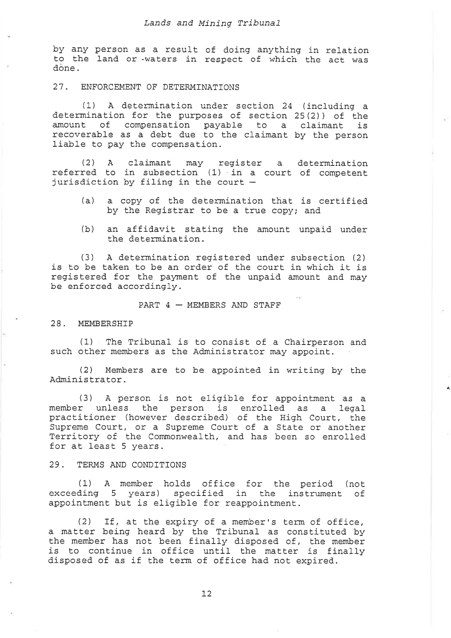by any person as a result of doing anything in relation to the land or -waters in respect of which the act was dòne.

#### 27. ENFORCEMENT OF DETERMINATIONS

(1) A determination under section 24 (including a determination for the purposes of section 25(2)) of the amount of compensation payable to a claimant is recoverable as a debt due to the claimant by the person liable to pay the compensation.

(2) A claimant may register a determination referred to in subsection (1) in a court of competent jurisdiction by filing in the court -

- (a) a copy of the determination that is certified by the Registrar to be a true copy; and
- (b) an affidavit stating the amount unpaid under the determination.

(3) A determination registered under subsection (2) is to be taken to be an order of the court in which it is registered for the payment of the unpaid amount and may be enforced accordingly.

PART  $4$   $-$  MEMBERS AND STAFF

#### 28. MEMBERSHIP

(1) The Tribunal is to consist of a Chairperson and such other members as the Administrator may appoint.

(2) Members are to be appointed in writing by the Àdminis trator.

 $\bullet$ 

(3) A person is not eliqible for appointment as <sup>a</sup> member unless the person is enrolled as a legal practitioner (however described) of the High Court, the Supreme Court, or a Supreme Court of a State or another<br>Territory of the Commonwealth, and has been so enrolled<br>for at least 5 years.

#### 29. TERMS AND CONDTTTONS

(1) A member holds office for the period (not exceeding 5 years) specified in the instrument of appointment but is eligible for reappointment.

(2) If, at the expiry of a member's term of office, a matter being heard by the Tribunal as constituted by the member has not been finally disposed of, the member is to continue in office until the matter is finally disposed of as if the term of office had not expired.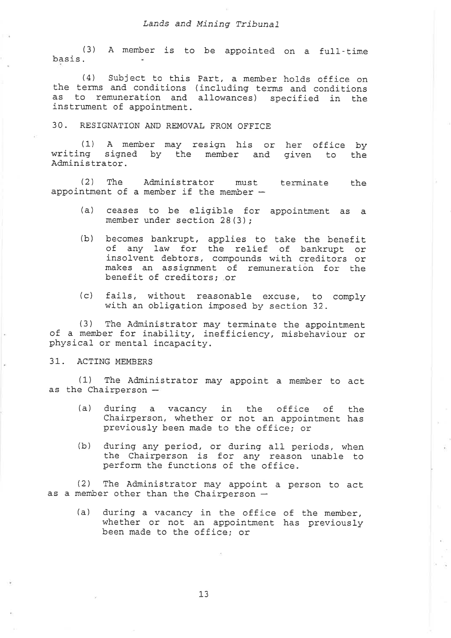#### Lands and Mining Tribunal

(3) A member is to be appointed on a full-tim basis.

 $(4)$  Subject to this Part, a member holds office on the terms and conditions (including terms and conditions as to remuneration and allowances) specified in the instrument of appointment.

30. RESIGNATION AND REMOVAL FROM OFFICE

(1) A member may resign his or writing signed by the member and given to the Adminis trator. (1) A member may resign his or her office by<br>ng signed by the member and given to the

(2) The Administrator must. appointment of a member if the member  $$ terminate the

- (a) ceases to be eligible for appointment as member under section 28(3);
- (b) becomes bankrupt, applies to take the benefit of any law for the relief of bankrupt or insolvent debtors, compounds with creditors or makes an assignment of remuneration for the benefit, of creditorsi .or
- (c) fails, without reasonable excuse, to comply with an obligation imposed by section 32.

(3) The Administrator may terminate the appointment<br>of a member for inability, inefficiency, misbehaviour or<br>physical or mental incapacity.

# 31. ACTTNG MEMBERS

(1) The Administrator may appoint a member to act as the Chairperson  $=$ 

- (a) during a vacancy in bhe office of Chairperson, whether or not' an appointment. previously been made to the office; or the has
- (b) during any period, or during all periods, when the Chairperson is for any reason unable to perform the functions of the office.

(2) The Administrator may appoint. a person to act as a member other than the Chairperson  $-$ 

(a) during a vacancy in the office of the member, whether or not an appointment has previously been made to the office; or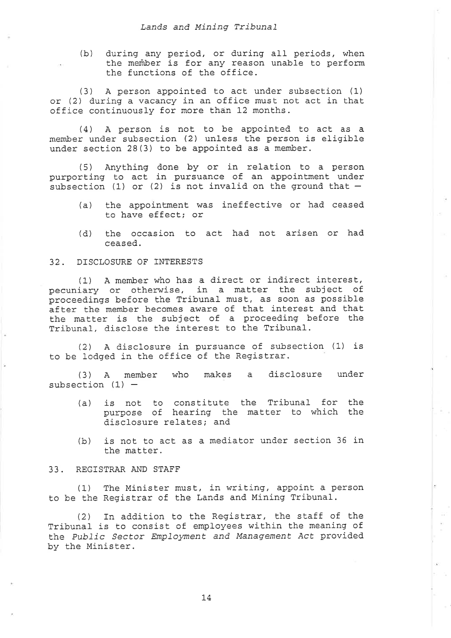(b) during any period, or during all periods, when the meñber is for any reason unable to perform the functions of the office.

(3) A person appointed to act under subsection (L) or (2) during a vacancy in an office must not act in that office continuously for more than 12 months.

 $(4)$  A person is not to be appointed to act as a member under subsection Q) unless the person is eligible under section 28 (3) to be appointed as a member.

 $(5)$  Anything done by or in relation to a person purporting to act in pursuance of an appointment under subsection (1) or (2) is not invalid on the ground that  $-$ 

- (a) the appointment was ineffective or had ceased to have effect; or
- (d) the occasion to act had not arisen or had ceased.

#### 32 - DISCLOSURE OF INTERESTS

(1) A member who has a direct or indirect interest, pecuniary or otherwise, in a matter the subject of proceedings before the Tribunal must, as soon as possible after the member becomes aware of that interest and that the matter is Ehe subject of a proceeding before the Tribunal, disclose the interest to the Tribunal.

(2) A disclosure in pursuance of subsection (1) is to be lodged in the office of the Registrar.

(3) A member who makes a disclosure under subsection  $(1)$  -

- (a) is not to constitute purpose of hearing the disclosure relates; and the Tribunal for matter to which the the
- (b) is not to act as a mediator under section 36 in the matter.

# 33. REGTSTRAR AND STAFF

(1) The Minister must, in writing, appoint a person Eo be the Registrar of the Lands and Mining Tribunal.

(2) In addition to the Registrar, the staff of the Tribunal is to consist of employees within the meaning of the Public Sector Employment and Management Act provided by the Minister.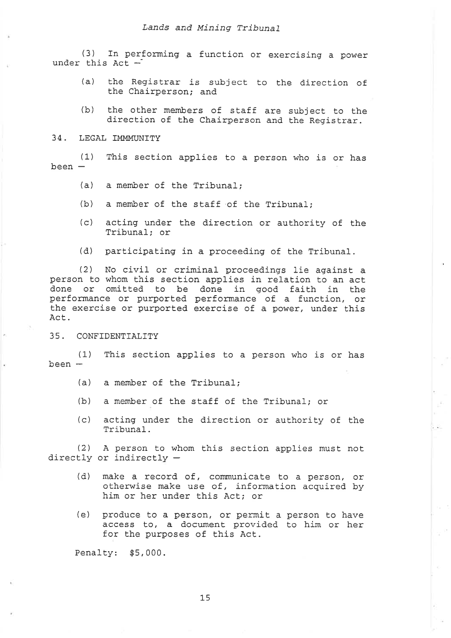(3) In performing a function or exercising a power under this  $Act -$ 

- (a) the Registrar is subject to the direction of the Chairperson; and
- (b) the other members of staff are subject to the direction of the Chairperson and the Registrar.

#### 34. LEGAL IMMMUNITY

(1)  $been -$ This section applies to a person who is or has

- (a) a member of the Tribunal;
- (b) a member of Ehe staff of the Tribunal,
- (c) the acting under the direction or authority of Tribunal; or
- (d) participating in a proceeding of the Tribunal.

(2) No civil or criminal proceedings lie against a<br>person to whom this section applies in relation to an act done or omitted to be done in good faith in the performance or purported performance of a function, or the exercise or purported exercise of a power, under this Act.

35. CONFTDENTTALTTY

(1) This section applies to a person who is or has  $been -$ 

- (a) a member of Ehe Tríbunal;
- (b) a member of the staff of the Tribunal; or
- (c) acting under the direction or authority of the lribunal.

(2) A person to whom this section applies must not directly or indirectly  $-$ 

- (d) make a record of, communicate to a person, or otherwise make use of, information acquired by him or her under this Act; or
- (e) produce to a person, or permit a person to have access to, a document provided to him or her for the purposes of this Act.

Penalty: \$5,000.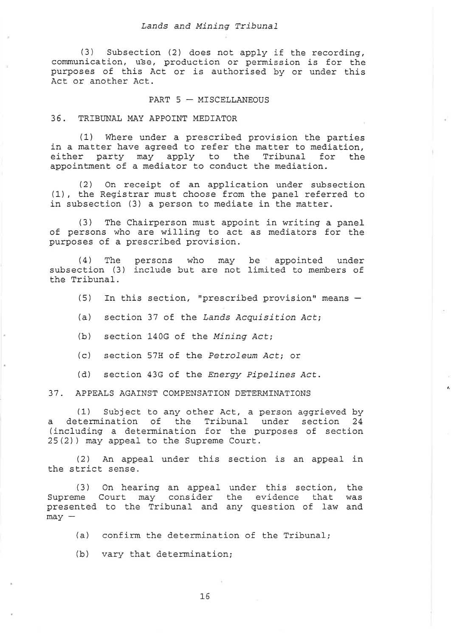(3) Subsection (2) does not apply if the recording, communication, use, production or permission is for the purposes of this Act or is authorised by or under this Act or another Act.

#### PART  $5 -$  MISCELLANEOUS

36. TRIBUNAL MAY APPOINT MEDIATOR

(1) Where under a prescribed provision the parties in a matter have agreed to refer the matter to mediation, either party may apply to the Tribunal for the appointment of a mediator to conduct the mediation.

(2) On receipt of an application under subsection (1), the Registrar must choose from the panel referred to in subsection (3) a person to mediate in the matter.

(3) The Chairperson must appoint in writing a panel of persons who are willing to acL as mediators for the purposes of a prescribed provision.

(4) The persons who may be appointed under subsection (3) include but are not limited to members of the Tribunal.

(5) In this section, "prescribed provision" means  $-$ 

 $\hat{\pmb{\theta}}_i$ 

(a) section 37 of the Lands Acquisition Act;

(b) section 140G of the Mining Act;

(c) section 57H of the Petroleum Act; or

(d) section 43G of the Energy Pipelines Act.

37. APPEALS AGATNST COMPENSATTON DETERMTNATTONS

(1) Subject to any other Act, a person aggrieved by a determination of the Tribunal under section 24 (including a determination for the purposes of section 25(2) ) may appeal to the Supreme Court.

(2) An appeal under this section is an appeal in the strict sense.

(3) On hearing an appeal under Lhis section, the Supreme Court may consider the evidence that was presented to the Tribunal and any question of law and  $may -$ 

(a) confirm the determination of the Tribunal;

(b) vary that determination

L6